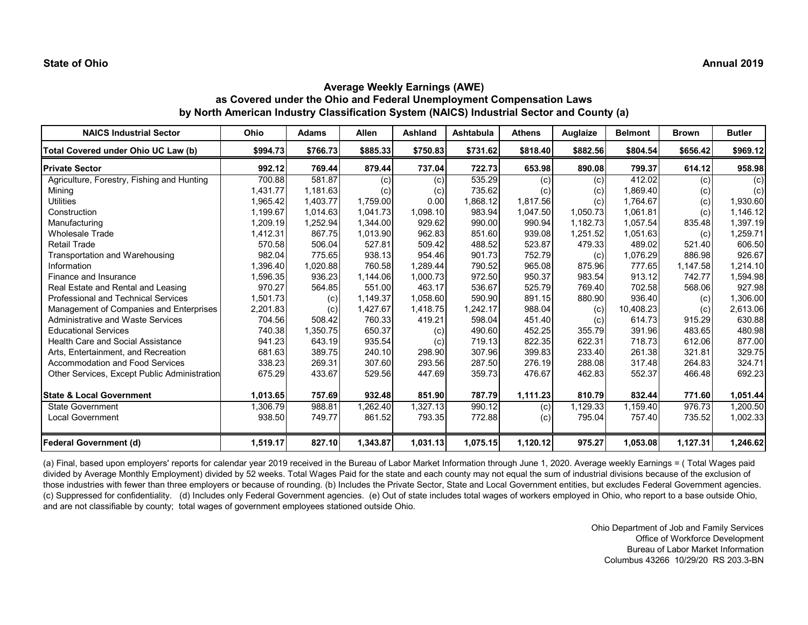# **Average Weekly Earnings (AWE) as Covered under the Ohio and Federal Unemployment Compensation Laws by North American Industry Classification System (NAICS) Industrial Sector and County (a)**

| <b>NAICS Industrial Sector</b>               | Ohio     | <b>Adams</b> | <b>Allen</b> | Ashland  | Ashtabula | <b>Athens</b> | Auglaize | <b>Belmont</b> | <b>Brown</b> | <b>Butler</b> |
|----------------------------------------------|----------|--------------|--------------|----------|-----------|---------------|----------|----------------|--------------|---------------|
| Total Covered under Ohio UC Law (b)          | \$994.73 | \$766.73     | \$885.33     | \$750.83 | \$731.62  | \$818.40      | \$882.56 | \$804.54       | \$656.42     | \$969.12      |
| <b>Private Sector</b>                        | 992.12   | 769.44       | 879.44       | 737.04   | 722.73    | 653.98        | 890.08   | 799.37         | 614.12       | 958.98        |
| Agriculture, Forestry, Fishing and Hunting   | 700.88   | 581.87       | (c)          | (c)      | 535.29    | (c)           | (c)      | 412.02         | (c)          | (c)           |
| Mining                                       | 1,431.77 | 1,181.63     | (c)          | (c)      | 735.62    | (c)           | (c)      | 1,869.40       | (c)          | (c)           |
| <b>Utilities</b>                             | 1,965.42 | 1,403.77     | 1,759.00     | 0.00     | 1,868.12  | 1,817.56      | (c)      | 1,764.67       | (c)          | 1,930.60      |
| Construction                                 | 1,199.67 | 1,014.63     | 1,041.73     | 1,098.10 | 983.94    | 1,047.50      | 1,050.73 | 1,061.81       | (c)          | 1,146.12      |
| Manufacturing                                | 1,209.19 | 1,252.94     | 1,344.00     | 929.62   | 990.00    | 990.94        | 1,182.73 | 1.057.54       | 835.48       | 1,397.19      |
| <b>Wholesale Trade</b>                       | 1,412.31 | 867.75       | 1,013.90     | 962.83   | 851.60    | 939.08        | 1,251.52 | 1,051.63       | (c)          | 1,259.71      |
| <b>Retail Trade</b>                          | 570.58   | 506.04       | 527.81       | 509.42   | 488.52    | 523.87        | 479.33   | 489.02         | 521.40       | 606.50        |
| Transportation and Warehousing               | 982.04   | 775.65       | 938.13       | 954.46   | 901.73    | 752.79        | (c)      | 1,076.29       | 886.98       | 926.67        |
| Information                                  | 1,396.40 | 1,020.88     | 760.58       | 1,289.44 | 790.52    | 965.08        | 875.96   | 777.65         | 1,147.58     | 1,214.10      |
| Finance and Insurance                        | 1,596.35 | 936.23       | 1,144.06     | 1,000.73 | 972.50    | 950.37        | 983.54   | 913.12         | 742.77       | 1,594.98      |
| Real Estate and Rental and Leasing           | 970.27   | 564.85       | 551.00       | 463.17   | 536.67    | 525.79        | 769.40   | 702.58         | 568.06       | 927.98        |
| <b>Professional and Technical Services</b>   | 1,501.73 | (c)          | 1,149.37     | 1,058.60 | 590.90    | 891.15        | 880.90   | 936.40         | (c)          | 1,306.00      |
| Management of Companies and Enterprises      | 2,201.83 | (c)          | 1,427.67     | 1,418.75 | 1,242.17  | 988.04        | (c)      | 10,408.23      | (c)          | 2,613.06      |
| <b>Administrative and Waste Services</b>     | 704.56   | 508.42       | 760.33       | 419.21   | 598.04    | 451.40        | (c)      | 614.73         | 915.29       | 630.88        |
| <b>Educational Services</b>                  | 740.38   | 1,350.75     | 650.37       | (c)      | 490.60    | 452.25        | 355.79   | 391.96         | 483.65       | 480.98        |
| <b>Health Care and Social Assistance</b>     | 941.23   | 643.19       | 935.54       | (c)      | 719.13    | 822.35        | 622.31   | 718.73         | 612.06       | 877.00        |
| Arts, Entertainment, and Recreation          | 681.63   | 389.75       | 240.10       | 298.90   | 307.96    | 399.83        | 233.40   | 261.38         | 321.81       | 329.75        |
| Accommodation and Food Services              | 338.23   | 269.31       | 307.60       | 293.56   | 287.50    | 276.19        | 288.08   | 317.48         | 264.83       | 324.71        |
| Other Services, Except Public Administration | 675.29   | 433.67       | 529.56       | 447.69   | 359.73    | 476.67        | 462.83   | 552.37         | 466.48       | 692.23        |
| <b>State &amp; Local Government</b>          | 1,013.65 | 757.69       | 932.48       | 851.90   | 787.79    | 1,111.23      | 810.79   | 832.44         | 771.60       | 1,051.44      |
| <b>State Government</b>                      | 1,306.79 | 988.81       | 1,262.40     | 1,327.13 | 990.12    | (c)           | 1,129.33 | 1.159.40       | 976.73       | 1,200.50      |
| <b>Local Government</b>                      | 938.50   | 749.77       | 861.52       | 793.35   | 772.88    | (c)           | 795.04   | 757.40         | 735.52       | 1,002.33      |
| <b>Federal Government (d)</b>                | 1,519.17 | 827.10       | 1,343.87     | 1,031.13 | 1,075.15  | 1,120.12      | 975.27   | 1,053.08       | 1,127.31     | 1,246.62      |

(a) Final, based upon employers' reports for calendar year 2019 received in the Bureau of Labor Market Information through June 1, 2020. Average weekly Earnings = (Total Wages paid divided by Average Monthly Employment) divided by 52 weeks. Total Wages Paid for the state and each county may not equal the sum of industrial divisions because of the exclusion of those industries with fewer than three employers or because of rounding. (b) Includes the Private Sector, State and Local Government entities, but excludes Federal Government agencies. (c) Suppressed for confidentiality. (d) Includes only Federal Government agencies. (e) Out of state includes total wages of workers employed in Ohio, who report to a base outside Ohio, and are not classifiable by county; total wages of government employees stationed outside Ohio.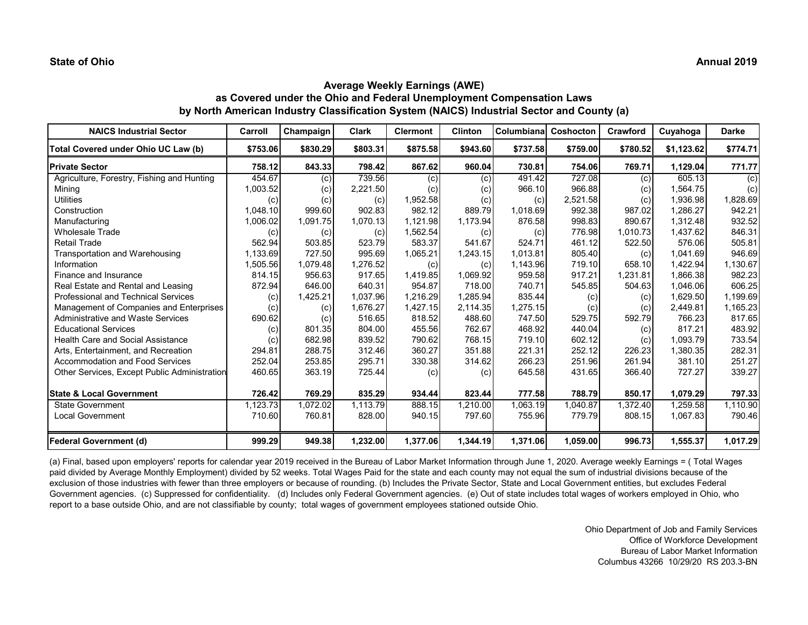# **Average Weekly Earnings (AWE) as Covered under the Ohio and Federal Unemployment Compensation Laws by North American Industry Classification System (NAICS) Industrial Sector and County (a)**

| <b>NAICS Industrial Sector</b>               | Carroll  | Champaign | <b>Clark</b> | <b>Clermont</b> | <b>Clinton</b> | Columbiana | Coshocton | Crawford | Cuyahoga   | Darke    |
|----------------------------------------------|----------|-----------|--------------|-----------------|----------------|------------|-----------|----------|------------|----------|
| Total Covered under Ohio UC Law (b)          | \$753.06 | \$830.29  | \$803.31     | \$875.58        | \$943.60       | \$737.58   | \$759.00  | \$780.52 | \$1,123.62 | \$774.71 |
| <b>Private Sector</b>                        | 758.12   | 843.33    | 798.42       | 867.62          | 960.04         | 730.81     | 754.06    | 769.71   | 1,129.04   | 771.77   |
| Agriculture, Forestry, Fishing and Hunting   | 454.67   | (c)       | 739.56       | (c)             | (c)            | 491.42     | 727.08    | (c)      | 605.13     | (c)      |
| Mining                                       | 1,003.52 | (c)       | 2,221.50     | (c)             | (c)            | 966.10     | 966.88    | (c)      | 1,564.75   | (c)      |
| <b>Utilities</b>                             | (c)      | (c)       | (c)          | 1,952.58        | (c)            | (c)        | 2,521.58  | (c)      | 1,936.98   | 1,828.69 |
| Construction                                 | 1,048.10 | 999.60    | 902.83       | 982.12          | 889.79         | 1,018.69   | 992.38    | 987.02   | 1,286.27   | 942.21   |
| Manufacturing                                | 1,006.02 | 1,091.75  | 1.070.13     | 1,121.98        | 1,173.94       | 876.58     | 998.83    | 890.67   | 1.312.48   | 932.52   |
| <b>Wholesale Trade</b>                       | (c)      | (c)       | (c)          | 1,562.54        | (c)            | (c)        | 776.98    | 1.010.73 | 1,437.62   | 846.31   |
| <b>Retail Trade</b>                          | 562.94   | 503.85    | 523.79       | 583.37          | 541.67         | 524.71     | 461.12    | 522.50   | 576.06     | 505.81   |
| Transportation and Warehousing               | 1,133.69 | 727.50    | 995.69       | 1,065.21        | 1,243.15       | 1,013.81   | 805.40    | (c)      | 1,041.69   | 946.69   |
| Information                                  | 1,505.56 | 1.079.48  | 1.276.52     | (c)             | (c)            | 1,143.96   | 719.10    | 658.10   | 1.422.94   | 1,130.67 |
| Finance and Insurance                        | 814.15   | 956.63    | 917.65       | 1,419.85        | 1,069.92       | 959.58     | 917.21    | 1,231.81 | 1,866.38   | 982.23   |
| Real Estate and Rental and Leasing           | 872.94   | 646.00    | 640.31       | 954.87          | 718.00         | 740.71     | 545.85    | 504.63   | 1.046.06   | 606.25   |
| <b>Professional and Technical Services</b>   | (c)      | 1,425.21  | 1,037.96     | 1,216.29        | 1,285.94       | 835.44     | (c)       | (c)      | 1,629.50   | 1,199.69 |
| Management of Companies and Enterprises      | (c)      | (c)       | 1,676.27     | 1,427.15        | 2,114.35       | 1,275.15   | (c)       | (c)      | 2,449.81   | 1,165.23 |
| <b>Administrative and Waste Services</b>     | 690.62   | (c)       | 516.65       | 818.52          | 488.60         | 747.50     | 529.75    | 592.79   | 766.23     | 817.65   |
| <b>Educational Services</b>                  | (c)      | 801.35    | 804.00       | 455.56          | 762.67         | 468.92     | 440.04    | (c)      | 817.21     | 483.92   |
| <b>Health Care and Social Assistance</b>     | (c)      | 682.98    | 839.52       | 790.62          | 768.15         | 719.10     | 602.12    | (c)      | 1.093.79   | 733.54   |
| Arts, Entertainment, and Recreation          | 294.81   | 288.75    | 312.46       | 360.27          | 351.88         | 221.31     | 252.12    | 226.23   | 1,380.35   | 282.31   |
| <b>Accommodation and Food Services</b>       | 252.04   | 253.85    | 295.71       | 330.38          | 314.62         | 266.23     | 251.96    | 261.94   | 381.10     | 251.27   |
| Other Services, Except Public Administration | 460.65   | 363.19    | 725.44       | (c)             | (c)            | 645.58     | 431.65    | 366.40   | 727.27     | 339.27   |
| <b>State &amp; Local Government</b>          | 726.42   | 769.29    | 835.29       | 934.44          | 823.44         | 777.58     | 788.79    | 850.17   | 1,079.29   | 797.33   |
| <b>State Government</b>                      | 1,123.73 | 1,072.02  | 1,113.79     | 888.15          | 1,210.00       | 1,063.19   | 1.040.87  | 1.372.40 | 1,259.58   | 1,110.90 |
| <b>Local Government</b>                      | 710.60   | 760.81    | 828.00       | 940.15          | 797.60         | 755.96     | 779.79    | 808.15   | 1,067.83   | 790.46   |
| <b>Federal Government (d)</b>                | 999.29   | 949.38    | 1,232.00     | 1,377.06        | 1,344.19       | 1,371.06   | 1,059.00  | 996.73   | 1,555.37   | 1,017.29 |

(a) Final, based upon employers' reports for calendar year 2019 received in the Bureau of Labor Market Information through June 1, 2020. Average weekly Earnings = ( Total Wages paid divided by Average Monthly Employment) divided by 52 weeks. Total Wages Paid for the state and each county may not equal the sum of industrial divisions because of the exclusion of those industries with fewer than three employers or because of rounding. (b) Includes the Private Sector, State and Local Government entities, but excludes Federal Government agencies. (c) Suppressed for confidentiality. (d) Includes only Federal Government agencies. (e) Out of state includes total wages of workers employed in Ohio, who report to a base outside Ohio, and are not classifiable by county; total wages of government employees stationed outside Ohio.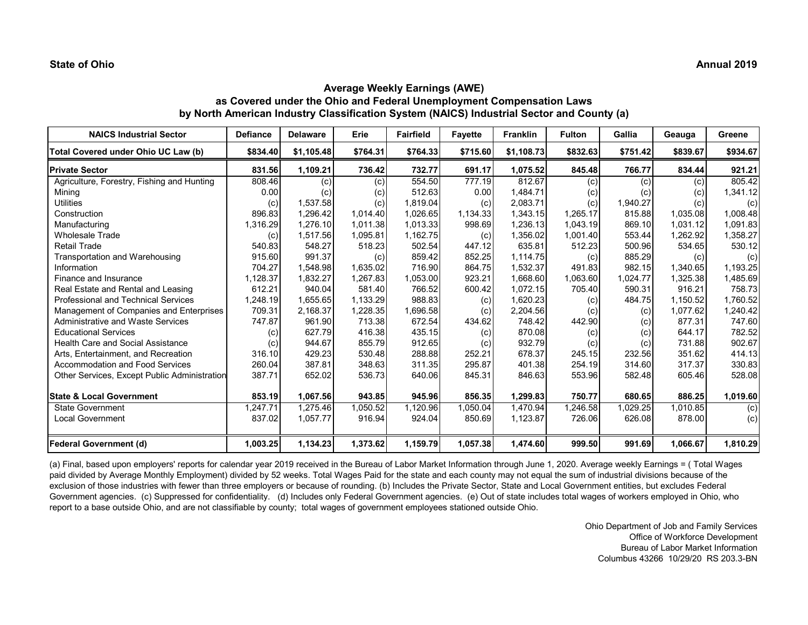# **Average Weekly Earnings (AWE) as Covered under the Ohio and Federal Unemployment Compensation Laws by North American Industry Classification System (NAICS) Industrial Sector and County (a)**

| <b>NAICS Industrial Sector</b>               | <b>Defiance</b> | <b>Delaware</b> | Erie     | <b>Fairfield</b> | <b>Fayette</b> | <b>Franklin</b> | <b>Fulton</b> | Gallia   | Geauga   | Greene   |
|----------------------------------------------|-----------------|-----------------|----------|------------------|----------------|-----------------|---------------|----------|----------|----------|
| Total Covered under Ohio UC Law (b)          | \$834.40        | \$1,105.48      | \$764.31 | \$764.33         | \$715.60       | \$1,108.73      | \$832.63      | \$751.42 | \$839.67 | \$934.67 |
| <b>Private Sector</b>                        | 831.56          | 1,109.21        | 736.42   | 732.77           | 691.17         | 1,075.52        | 845.48        | 766.77   | 834.44   | 921.21   |
| Agriculture, Forestry, Fishing and Hunting   | 808.46          | (c)             | (c)      | 554.50           | 777.19         | 812.67          | (c)           | (c)      | (c)      | 805.42   |
| Mining                                       | 0.00            | (c)             | (c)      | 512.63           | 0.00           | 1,484.71        | (c)           | (c)      | (c)      | 1,341.12 |
| <b>Utilities</b>                             | (c)             | 1,537.58        | (c)      | 1,819.04         | (c)            | 2,083.71        | (c)           | 1,940.27 | (c)      | (c)      |
| Construction                                 | 896.83          | 1,296.42        | 1,014.40 | 1,026.65         | 1,134.33       | 1,343.15        | 1,265.17      | 815.88   | 1,035.08 | 1,008.48 |
| Manufacturing                                | 1,316.29        | 1,276.10        | 1,011.38 | 1,013.33         | 998.69         | 1,236.13        | 1,043.19      | 869.10   | 1,031.12 | 1,091.83 |
| <b>Wholesale Trade</b>                       | (c)             | 1,517.56        | 1,095.81 | 1,162.75         | (c)            | 1,356.02        | 1,001.40      | 553.44   | 1,262.92 | 1,358.27 |
| <b>Retail Trade</b>                          | 540.83          | 548.27          | 518.23   | 502.54           | 447.12         | 635.81          | 512.23        | 500.96   | 534.65   | 530.12   |
| Transportation and Warehousing               | 915.60          | 991.37          | (c)      | 859.42           | 852.25         | 1,114.75        | (c)           | 885.29   | (c)      | (c)      |
| Information                                  | 704.27          | 1.548.98        | 1.635.02 | 716.90           | 864.75         | 1,532.37        | 491.83        | 982.15   | 1.340.65 | 1,193.25 |
| Finance and Insurance                        | 1,128.37        | 1,832.27        | 1,267.83 | 1,053.00         | 923.21         | 1,668.60        | 1,063.60      | 1,024.77 | 1,325.38 | 1,485.69 |
| Real Estate and Rental and Leasing           | 612.21          | 940.04          | 581.40   | 766.52           | 600.42         | 1,072.15        | 705.40        | 590.31   | 916.21   | 758.73   |
| <b>Professional and Technical Services</b>   | 1,248.19        | 1,655.65        | 1,133.29 | 988.83           | (c)            | 1,620.23        | (c)           | 484.75   | 1,150.52 | 1,760.52 |
| Management of Companies and Enterprises      | 709.31          | 2,168.37        | 1,228.35 | 1,696.58         | (c)            | 2,204.56        | (c)           | (c)      | 1,077.62 | 1,240.42 |
| <b>Administrative and Waste Services</b>     | 747.87          | 961.90          | 713.38   | 672.54           | 434.62         | 748.42          | 442.90        | (c)      | 877.31   | 747.60   |
| <b>Educational Services</b>                  | (c)             | 627.79          | 416.38   | 435.15           | (c)            | 870.08          | (c)           | (c)      | 644.17   | 782.52   |
| <b>Health Care and Social Assistance</b>     | (c)             | 944.67          | 855.79   | 912.65           | (c)            | 932.79          | (c)           | (c)      | 731.88   | 902.67   |
| Arts, Entertainment, and Recreation          | 316.10          | 429.23          | 530.48   | 288.88           | 252.21         | 678.37          | 245.15        | 232.56   | 351.62   | 414.13   |
| <b>Accommodation and Food Services</b>       | 260.04          | 387.81          | 348.63   | 311.35           | 295.87         | 401.38          | 254.19        | 314.60   | 317.37   | 330.83   |
| Other Services, Except Public Administration | 387.71          | 652.02          | 536.73   | 640.06           | 845.31         | 846.63          | 553.96        | 582.48   | 605.46   | 528.08   |
| <b>State &amp; Local Government</b>          | 853.19          | 1,067.56        | 943.85   | 945.96           | 856.35         | 1,299.83        | 750.77        | 680.65   | 886.25   | 1,019.60 |
| <b>State Government</b>                      | ,247.71         | 1,275.46        | 1,050.52 | 1,120.96         | 1,050.04       | 1,470.94        | ,246.58       | 1,029.25 | 1,010.85 | (c)      |
| <b>Local Government</b>                      | 837.02          | 1,057.77        | 916.94   | 924.04           | 850.69         | 1,123.87        | 726.06        | 626.08   | 878.00   | (c)      |
| <b>Federal Government (d)</b>                | 1,003.25        | 1,134.23        | 1,373.62 | 1,159.79         | 1,057.38       | 1,474.60        | 999.50        | 991.69   | 1,066.67 | 1,810.29 |

(a) Final, based upon employers' reports for calendar year 2019 received in the Bureau of Labor Market Information through June 1, 2020. Average weekly Earnings = ( Total Wages paid divided by Average Monthly Employment) divided by 52 weeks. Total Wages Paid for the state and each county may not equal the sum of industrial divisions because of the exclusion of those industries with fewer than three employers or because of rounding. (b) Includes the Private Sector, State and Local Government entities, but excludes Federal Government agencies. (c) Suppressed for confidentiality. (d) Includes only Federal Government agencies. (e) Out of state includes total wages of workers employed in Ohio, who report to a base outside Ohio, and are not classifiable by county; total wages of government employees stationed outside Ohio.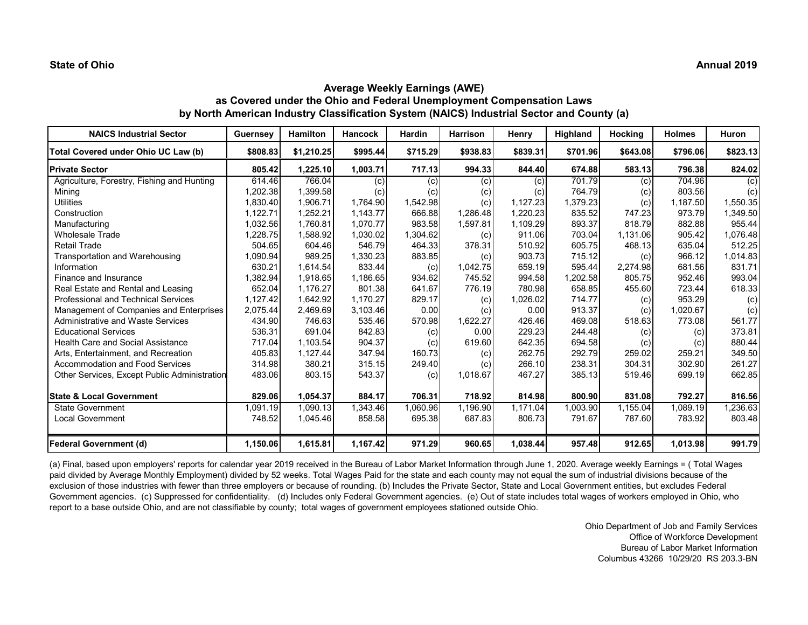# **Average Weekly Earnings (AWE) as Covered under the Ohio and Federal Unemployment Compensation Laws by North American Industry Classification System (NAICS) Industrial Sector and County (a)**

| <b>NAICS Industrial Sector</b>               | <b>Guernsey</b> | Hamilton   | <b>Hancock</b> | <b>Hardin</b> | <b>Harrison</b> | Henry    | Highland | Hocking  | <b>Holmes</b> | <b>Huron</b> |
|----------------------------------------------|-----------------|------------|----------------|---------------|-----------------|----------|----------|----------|---------------|--------------|
| Total Covered under Ohio UC Law (b)          | \$808.83        | \$1,210.25 | \$995.44       | \$715.29      | \$938.83        | \$839.31 | \$701.96 | \$643.08 | \$796.06      | \$823.13     |
| <b>Private Sector</b>                        | 805.42          | 1,225.10   | 1,003.71       | 717.13        | 994.33          | 844.40   | 674.88   | 583.13   | 796.38        | 824.02       |
| Agriculture, Forestry, Fishing and Hunting   | 614.46          | 766.04     | (c)            | (c)           | (c)             | (c)      | 701.79   | (c)      | 704.96        | (c)          |
| Mining                                       | .202.38         | 1,399.58   | (c)            | (c)           | (c)             | (c)      | 764.79   | (c)      | 803.56        | (c)          |
| <b>Utilities</b>                             | 1.830.40        | 1.906.71   | 1.764.90       | 1,542.98      | (c)             | 1.127.23 | 1.379.23 | (c)      | 1.187.50      | 1,550.35     |
| Construction                                 | 1,122.71        | 1,252.21   | 1,143.77       | 666.88        | 1,286.48        | 1,220.23 | 835.52   | 747.23   | 973.79        | 1,349.50     |
| Manufacturing                                | 1,032.56        | 1.760.81   | 1.070.77       | 983.58        | 1,597.81        | 1,109.29 | 893.37   | 818.79   | 882.88        | 955.44       |
| <b>Wholesale Trade</b>                       | .228.75         | 1,588.92   | 1,030.02       | 1,304.62      | (c)             | 911.06   | 703.04   | 1,131.06 | 905.42        | 1,076.48     |
| <b>Retail Trade</b>                          | 504.65          | 604.46     | 546.79         | 464.33        | 378.31          | 510.92   | 605.75   | 468.13   | 635.04        | 512.25       |
| Transportation and Warehousing               | ,090.94         | 989.25     | 1,330.23       | 883.85        | (c)             | 903.73   | 715.12   | (c)      | 966.12        | 1,014.83     |
| Information                                  | 630.21          | 1,614.54   | 833.44         | (c)           | 1,042.75        | 659.19   | 595.44   | 2,274.98 | 681.56        | 831.71       |
| Finance and Insurance                        | ,382.94         | 1,918.65   | 1,186.65       | 934.62        | 745.52          | 994.58   | 1,202.58 | 805.75   | 952.46        | 993.04       |
| Real Estate and Rental and Leasing           | 652.04          | 1,176.27   | 801.38         | 641.67        | 776.19          | 780.98   | 658.85   | 455.60   | 723.44        | 618.33       |
| <b>Professional and Technical Services</b>   | 1,127.42        | 1,642.92   | 1,170.27       | 829.17        | (c)             | 1,026.02 | 714.77   | (c)      | 953.29        | (c)          |
| Management of Companies and Enterprises      | 2,075.44        | 2,469.69   | 3,103.46       | 0.00          | (c)             | 0.00     | 913.37   | (c)      | 1,020.67      | (c)          |
| Administrative and Waste Services            | 434.90          | 746.63     | 535.46         | 570.98        | 1,622.27        | 426.46   | 469.08   | 518.63   | 773.08        | 561.77       |
| <b>Educational Services</b>                  | 536.31          | 691.04     | 842.83         | (c)           | 0.00            | 229.23   | 244.48   | (c)      | (c)           | 373.81       |
| <b>Health Care and Social Assistance</b>     | 717.04          | 1,103.54   | 904.37         | (c)           | 619.60          | 642.35   | 694.58   | (c)      | (c)           | 880.44       |
| Arts, Entertainment, and Recreation          | 405.83          | 1,127.44   | 347.94         | 160.73        | (c)             | 262.75   | 292.79   | 259.02   | 259.21        | 349.50       |
| <b>Accommodation and Food Services</b>       | 314.98          | 380.21     | 315.15         | 249.40        | (c)             | 266.10   | 238.31   | 304.31   | 302.90        | 261.27       |
| Other Services, Except Public Administration | 483.06          | 803.15     | 543.37         | (c)           | 1,018.67        | 467.27   | 385.13   | 519.46   | 699.19        | 662.85       |
| <b>State &amp; Local Government</b>          | 829.06          | 1,054.37   | 884.17         | 706.31        | 718.92          | 814.98   | 800.90   | 831.08   | 792.27        | 816.56       |
| <b>State Government</b>                      | 1.091.19        | 1.090.13   | 1.343.46       | 1.060.96      | 1,196.90        | 1.171.04 | 1.003.90 | 1.155.04 | 1,089.19      | ,236.63      |
| <b>Local Government</b>                      | 748.52          | 1,045.46   | 858.58         | 695.38        | 687.83          | 806.73   | 791.67   | 787.60   | 783.92        | 803.48       |
| <b>Federal Government (d)</b>                | 1,150.06        | 1,615.81   | 1,167.42       | 971.29        | 960.65          | 1,038.44 | 957.48   | 912.65   | 1,013.98      | 991.79       |

(a) Final, based upon employers' reports for calendar year 2019 received in the Bureau of Labor Market Information through June 1, 2020. Average weekly Earnings = ( Total Wages paid divided by Average Monthly Employment) divided by 52 weeks. Total Wages Paid for the state and each county may not equal the sum of industrial divisions because of the exclusion of those industries with fewer than three employers or because of rounding. (b) Includes the Private Sector, State and Local Government entities, but excludes Federal Government agencies. (c) Suppressed for confidentiality. (d) Includes only Federal Government agencies. (e) Out of state includes total wages of workers employed in Ohio, who report to a base outside Ohio, and are not classifiable by county; total wages of government employees stationed outside Ohio.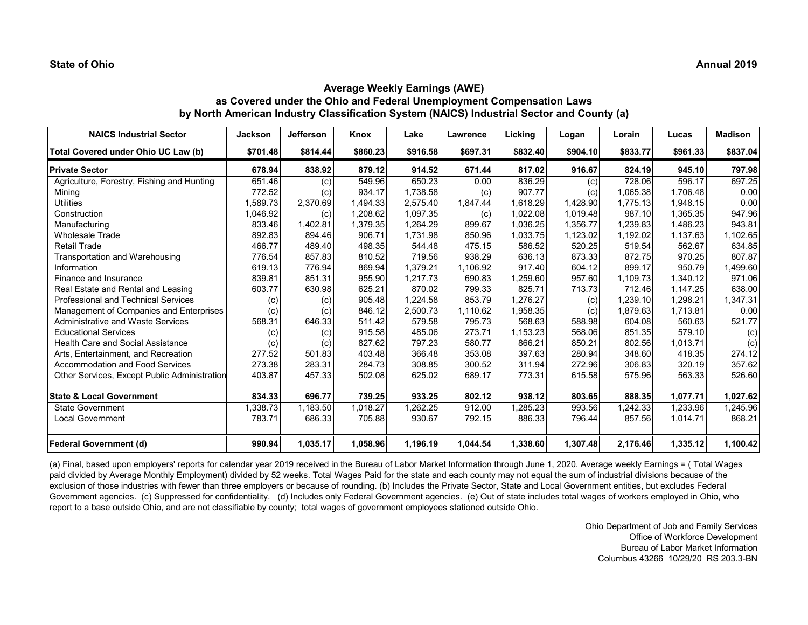# **Average Weekly Earnings (AWE) as Covered under the Ohio and Federal Unemployment Compensation Laws by North American Industry Classification System (NAICS) Industrial Sector and County (a)**

| <b>NAICS Industrial Sector</b>               | <b>Jackson</b> | <b>Jefferson</b> | Knox     | Lake     | Lawrence | Licking  | Logan    | Lorain   | Lucas    | <b>Madison</b> |
|----------------------------------------------|----------------|------------------|----------|----------|----------|----------|----------|----------|----------|----------------|
| Total Covered under Ohio UC Law (b)          | \$701.48       | \$814.44         | \$860.23 | \$916.58 | \$697.31 | \$832.40 | \$904.10 | \$833.77 | \$961.33 | \$837.04       |
| <b>Private Sector</b>                        | 678.94         | 838.92           | 879.12   | 914.52   | 671.44   | 817.02   | 916.67   | 824.19   | 945.10   | 797.98         |
| Agriculture, Forestry, Fishing and Hunting   | 651.46         | (c)              | 549.96   | 650.23   | 0.00     | 836.29   | (c)      | 728.06   | 596.17   | 697.25         |
| Mining                                       | 772.52         | (c)              | 934.17   | 1,738.58 | (c)      | 907.77   | (c)      | 1,065.38 | 1,706.48 | 0.00           |
| <b>Utilities</b>                             | .589.73        | 2,370.69         | 1,494.33 | 2,575.40 | 1,847.44 | 1,618.29 | 1,428.90 | 1,775.13 | 1,948.15 | 0.00           |
| Construction                                 | 1,046.92       | (c)              | 1,208.62 | 1,097.35 | (c)      | 1,022.08 | 1,019.48 | 987.10   | 1,365.35 | 947.96         |
| Manufacturing                                | 833.46         | 1,402.81         | 1,379.35 | 1,264.29 | 899.67   | 1,036.25 | 1,356.77 | 1,239.83 | 1,486.23 | 943.81         |
| <b>Wholesale Trade</b>                       | 892.83         | 894.46           | 906.71   | 1,731.98 | 850.96   | 1,033.75 | 1,123.02 | 1,192.02 | 1,137.63 | 1,102.65       |
| <b>Retail Trade</b>                          | 466.77         | 489.40           | 498.35   | 544.48   | 475.15   | 586.52   | 520.25   | 519.54   | 562.67   | 634.85         |
| Transportation and Warehousing               | 776.54         | 857.83           | 810.52   | 719.56   | 938.29   | 636.13   | 873.33   | 872.75   | 970.25   | 807.87         |
| Information                                  | 619.13         | 776.94           | 869.94   | 1.379.21 | 1,106.92 | 917.40   | 604.12   | 899.17   | 950.79   | ,499.60        |
| Finance and Insurance                        | 839.81         | 851.31           | 955.90   | 1,217.73 | 690.83   | 1,259.60 | 957.60   | 1,109.73 | 1,340.12 | 971.06         |
| Real Estate and Rental and Leasing           | 603.77         | 630.98           | 625.21   | 870.02   | 799.33   | 825.71   | 713.73   | 712.46   | 1,147.25 | 638.00         |
| <b>Professional and Technical Services</b>   | (c)            | (c)              | 905.48   | 1,224.58 | 853.79   | 1,276.27 | (c)      | 1,239.10 | 1,298.21 | 1,347.31       |
| Management of Companies and Enterprises      | (c)            | (c)              | 846.12   | 2,500.73 | 1,110.62 | 1,958.35 | (c)      | 1,879.63 | 1,713.81 | 0.00           |
| <b>Administrative and Waste Services</b>     | 568.31         | 646.33           | 511.42   | 579.58   | 795.73   | 568.63   | 588.98   | 604.08   | 560.63   | 521.77         |
| <b>Educational Services</b>                  | (c)            | (c)              | 915.58   | 485.06   | 273.71   | 1,153.23 | 568.06   | 851.35   | 579.10   | (c)            |
| <b>Health Care and Social Assistance</b>     | (c)            | (c)              | 827.62   | 797.23   | 580.77   | 866.21   | 850.21   | 802.56   | 1,013.71 | (c)            |
| Arts, Entertainment, and Recreation          | 277.52         | 501.83           | 403.48   | 366.48   | 353.08   | 397.63   | 280.94   | 348.60   | 418.35   | 274.12         |
| <b>Accommodation and Food Services</b>       | 273.38         | 283.31           | 284.73   | 308.85   | 300.52   | 311.94   | 272.96   | 306.83   | 320.19   | 357.62         |
| Other Services, Except Public Administration | 403.87         | 457.33           | 502.08   | 625.02   | 689.17   | 773.31   | 615.58   | 575.96   | 563.33   | 526.60         |
| <b>State &amp; Local Government</b>          | 834.33         | 696.77           | 739.25   | 933.25   | 802.12   | 938.12   | 803.65   | 888.35   | 1,077.71 | 1,027.62       |
| <b>State Government</b>                      | .338.73        | 1,183.50         | 1,018.27 | ,262.25  | 912.00   | 1,285.23 | 993.56   | 1,242.33 | 1,233.96 | ,245.96        |
| Local Government                             | 783.71         | 686.33           | 705.88   | 930.67   | 792.15   | 886.33   | 796.44   | 857.56   | 1,014.71 | 868.21         |
| Federal Government (d)                       | 990.94         | 1,035.17         | 1,058.96 | 1,196.19 | 1,044.54 | 1,338.60 | 1,307.48 | 2,176.46 | 1,335.12 | 1,100.42       |

(a) Final, based upon employers' reports for calendar year 2019 received in the Bureau of Labor Market Information through June 1, 2020. Average weekly Earnings = ( Total Wages paid divided by Average Monthly Employment) divided by 52 weeks. Total Wages Paid for the state and each county may not equal the sum of industrial divisions because of the exclusion of those industries with fewer than three employers or because of rounding. (b) Includes the Private Sector, State and Local Government entities, but excludes Federal Government agencies. (c) Suppressed for confidentiality. (d) Includes only Federal Government agencies. (e) Out of state includes total wages of workers employed in Ohio, who report to a base outside Ohio, and are not classifiable by county; total wages of government employees stationed outside Ohio.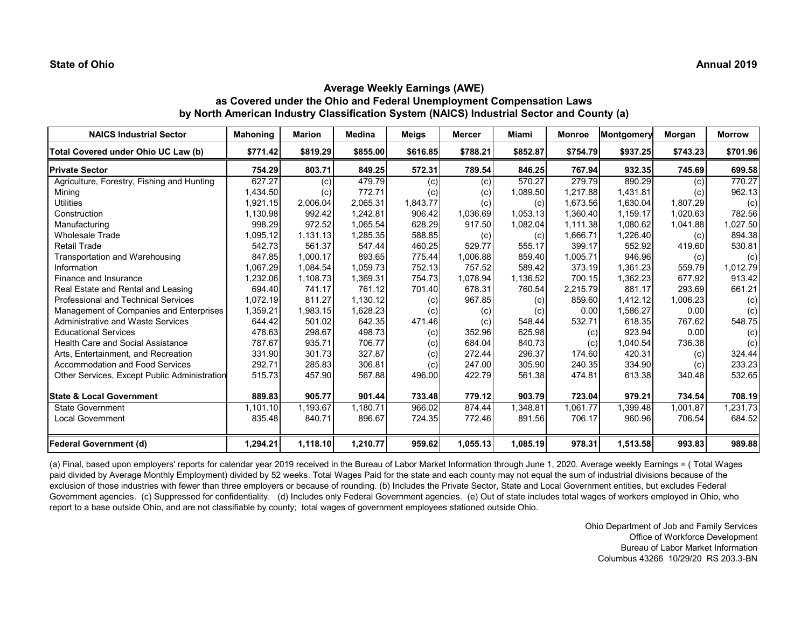# **Average Weekly Earnings (AWE) as Covered under the Ohio and Federal Unemployment Compensation Laws by North American Industry Classification System (NAICS) Industrial Sector and County (a)**

| <b>NAICS Industrial Sector</b>               | <b>Mahoning</b> | <b>Marion</b> | <b>Medina</b> | <b>Meigs</b> | <b>Mercer</b> | <b>Miami</b> | <b>Monroe</b> | Montgomery | Morgan   | <b>Morrow</b> |
|----------------------------------------------|-----------------|---------------|---------------|--------------|---------------|--------------|---------------|------------|----------|---------------|
| Total Covered under Ohio UC Law (b)          | \$771.42        | \$819.29      | \$855.00      | \$616.85     | \$788.21      | \$852.87     | \$754.79      | \$937.25   | \$743.23 | \$701.96      |
| <b>Private Sector</b>                        | 754.29          | 803.71        | 849.25        | 572.31       | 789.54        | 846.25       | 767.94        | 932.35     | 745.69   | 699.58        |
| Agriculture, Forestry, Fishing and Hunting   | 627.27          | (c)           | 479.79        | (c)          | (c)           | 570.27       | 279.79        | 890.29     | (c)      | 770.27        |
| Mining                                       | 1,434.50        | (c)           | 772.71        | (c)          | (c)           | 1,089.50     | 1.217.88      | 1,431.81   | (c)      | 962.13        |
| <b>Utilities</b>                             | 1,921.15        | 2,006.04      | 2.065.31      | 1,843.77     | (c)           | (c)          | 1,673.56      | 1,630.04   | 1,807.29 | (c)           |
| Construction                                 | 1,130.98        | 992.42        | 1.242.81      | 906.42       | 1,036.69      | 1,053.13     | 1.360.40      | 1.159.17   | 1,020.63 | 782.56        |
| Manufacturing                                | 998.29          | 972.52        | 1.065.54      | 628.29       | 917.50        | 1,082.04     | 1.111.38      | 1.080.62   | 1,041.88 | 1,027.50      |
| <b>Wholesale Trade</b>                       | 1.095.12        | 1,131.13      | 1,285.35      | 588.85       | (c)           | (c)          | 1,666.71      | 1,226.40   | (c)      | 894.38        |
| <b>Retail Trade</b>                          | 542.73          | 561.37        | 547.44        | 460.25       | 529.77        | 555.17       | 399.17        | 552.92     | 419.60   | 530.81        |
| Transportation and Warehousing               | 847.85          | 1.000.17      | 893.65        | 775.44       | 1,006.88      | 859.40       | 1,005.71      | 946.96     | (c)      | (c)           |
| Information                                  | 1,067.29        | 1,084.54      | 1,059.73      | 752.13       | 757.52        | 589.42       | 373.19        | 1,361.23   | 559.79   | 1,012.79      |
| Finance and Insurance                        | 1,232.06        | 1,108.73      | 1,369.31      | 754.73       | 1,078.94      | 1,136.52     | 700.15        | 1,362.23   | 677.92   | 913.42        |
| Real Estate and Rental and Leasing           | 694.40          | 741.17        | 761.12        | 701.40       | 678.31        | 760.54       | 2,215.79      | 881.17     | 293.69   | 661.21        |
| <b>Professional and Technical Services</b>   | 1,072.19        | 811.27        | 1,130.12      | (c)          | 967.85        | (c)          | 859.60        | 1,412.12   | 1,006.23 | (c)           |
| Management of Companies and Enterprises      | 1,359.21        | 1,983.15      | 1,628.23      | (c)          | (c)           | (c)          | 0.00          | 1,586.27   | 0.00     | (c)           |
| <b>Administrative and Waste Services</b>     | 644.42          | 501.02        | 642.35        | 471.46       | (c)           | 548.44       | 532.71        | 618.35     | 767.62   | 548.75        |
| <b>Educational Services</b>                  | 478.63          | 298.67        | 498.73        | (c)          | 352.96        | 625.98       | (c)           | 923.94     | 0.00     | (c)           |
| <b>Health Care and Social Assistance</b>     | 787.67          | 935.71        | 706.77        | (c)          | 684.04        | 840.73       | (c)           | 1,040.54   | 736.38   | (c)           |
| Arts, Entertainment, and Recreation          | 331.90          | 301.73        | 327.87        | (c)          | 272.44        | 296.37       | 174.60        | 420.31     | (c)      | 324.44        |
| <b>Accommodation and Food Services</b>       | 292.71          | 285.83        | 306.81        | (c)          | 247.00        | 305.90       | 240.35        | 334.90     | (c)      | 233.23        |
| Other Services, Except Public Administration | 515.73          | 457.90        | 567.88        | 496.00       | 422.79        | 561.38       | 474.81        | 613.38     | 340.48   | 532.65        |
| <b>State &amp; Local Government</b>          | 889.83          | 905.77        | 901.44        | 733.48       | 779.12        | 903.79       | 723.04        | 979.21     | 734.54   | 708.19        |
| <b>State Government</b>                      | 1,101.10        | 1,193.67      | 1,180.71      | 966.02       | 874.44        | 1,348.81     | 1,061.77      | 1,399.48   | 1,001.87 | ,231.73       |
| <b>Local Government</b>                      | 835.48          | 840.71        | 896.67        | 724.35       | 772.46        | 891.56       | 706.17        | 960.96     | 706.54   | 684.52        |
| <b>Federal Government (d)</b>                | 1,294.21        | 1,118.10      | 1,210.77      | 959.62       | 1,055.13      | 1,085.19     | 978.31        | 1,513.58   | 993.83   | 989.88        |

(a) Final, based upon employers' reports for calendar year 2019 received in the Bureau of Labor Market Information through June 1, 2020. Average weekly Earnings = ( Total Wages paid divided by Average Monthly Employment) divided by 52 weeks. Total Wages Paid for the state and each county may not equal the sum of industrial divisions because of the exclusion of those industries with fewer than three employers or because of rounding. (b) Includes the Private Sector, State and Local Government entities, but excludes Federal Government agencies. (c) Suppressed for confidentiality. (d) Includes only Federal Government agencies. (e) Out of state includes total wages of workers employed in Ohio, who report to a base outside Ohio, and are not classifiable by county; total wages of government employees stationed outside Ohio.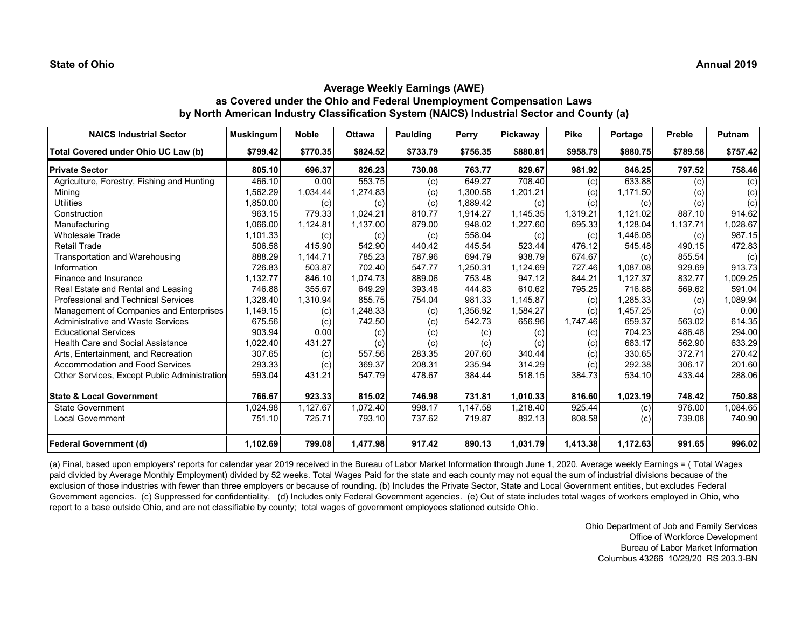# **Average Weekly Earnings (AWE) as Covered under the Ohio and Federal Unemployment Compensation Laws by North American Industry Classification System (NAICS) Industrial Sector and County (a)**

| <b>NAICS Industrial Sector</b>                      | <b>Muskingum</b> | <b>Noble</b> | <b>Ottawa</b> | <b>Paulding</b> | Perry    | Pickaway                   | <b>Pike</b> | Portage  | Preble   | <b>Putnam</b> |
|-----------------------------------------------------|------------------|--------------|---------------|-----------------|----------|----------------------------|-------------|----------|----------|---------------|
| Total Covered under Ohio UC Law (b)                 | \$799.42         | \$770.35     | \$824.52      | \$733.79        | \$756.35 | \$880.81                   | \$958.79    | \$880.75 | \$789.58 | \$757.42      |
| <b>Private Sector</b>                               | 805.10           | 696.37       | 826.23        | 730.08          | 763.77   | 829.67                     | 981.92      | 846.25   | 797.52   | 758.46        |
| Agriculture, Forestry, Fishing and Hunting          | 466.10           | 0.00         | 553.75        | (c)             | 649.27   | 708.40                     | (c)         | 633.88   | (c)      | (c)           |
| Minina                                              | .562.29          | 1,034.44     | 1,274.83      | (c)             | 1,300.58 | 1,201.21                   | (c)         | 1.171.50 | (c)      | (c)           |
| <b>Utilities</b>                                    | 1,850.00         | (c)          | (c)           | (c)             | 1,889.42 | (c)                        | (c)         | (c)      | (c)      | (c)           |
| Construction                                        | 963.15           | 779.33       | 1,024.21      | 810.77          | 1,914.27 | 1,145.35                   | 1,319.21    | 1,121.02 | 887.10   | 914.62        |
| Manufacturing                                       | 1,066.00         | 1,124.81     | 1,137.00      | 879.00          | 948.02   | 1,227.60                   | 695.33      | 1,128.04 | 1,137.71 | 1,028.67      |
| <b>Wholesale Trade</b>                              | 1,101.33         | (c)          | (c)           | (c)             | 558.04   | (c)                        | (c)         | 1,446.08 | (c)      | 987.15        |
| <b>Retail Trade</b>                                 | 506.58           | 415.90       | 542.90        | 440.42          | 445.54   | 523.44                     | 476.12      | 545.48   | 490.15   | 472.83        |
| Transportation and Warehousing                      | 888.29           | 1,144.71     | 785.23        | 787.96          | 694.79   | 938.79                     | 674.67      | (c)      | 855.54   | (c)           |
| Information                                         | 726.83           | 503.87       | 702.40        | 547.77          | 1,250.31 | 1,124.69                   | 727.46      | 1.087.08 | 929.69   | 913.73        |
| Finance and Insurance                               | 1,132.77         | 846.10       | 1,074.73      | 889.06          | 753.48   | 947.12                     | 844.21      | 1,127.37 | 832.77   | 1,009.25      |
| Real Estate and Rental and Leasing                  | 746.88           | 355.67       | 649.29        | 393.48          | 444.83   | 610.62                     | 795.25      | 716.88   | 569.62   | 591.04        |
| <b>Professional and Technical Services</b>          | 1,328.40         | 1,310.94     | 855.75        | 754.04          | 981.33   | 1,145.87                   | (c)         | 1,285.33 | (c)      | 1,089.94      |
| Management of Companies and Enterprises             | 1,149.15         | (c)          | 1,248.33      | (c)             | 1,356.92 | 1,584.27                   | (c)         | 1,457.25 | (c)      | 0.00          |
| <b>Administrative and Waste Services</b>            | 675.56           | (c)          | 742.50        | (c)             | 542.73   | 656.96                     | 1,747.46    | 659.37   | 563.02   | 614.35        |
| <b>Educational Services</b>                         | 903.94           | 0.00         | (c)           | (c)             | (c)      | (c)                        | (c)         | 704.23   | 486.48   | 294.00        |
| Health Care and Social Assistance                   | 1,022.40         | 431.27       | (c)           | (c)             | (c)      | $\left( \mathrm{c}\right)$ | (c)         | 683.17   | 562.90   | 633.29        |
| Arts, Entertainment, and Recreation                 | 307.65           | (c)          | 557.56        | 283.35          | 207.60   | 340.44                     | (c)         | 330.65   | 372.71   | 270.42        |
| <b>Accommodation and Food Services</b>              | 293.33           | (c)          | 369.37        | 208.31          | 235.94   | 314.29                     | (c)         | 292.38   | 306.17   | 201.60        |
| <b>Other Services, Except Public Administration</b> | 593.04           | 431.21       | 547.79        | 478.67          | 384.44   | 518.15                     | 384.73      | 534.10   | 433.44   | 288.06        |
| <b>State &amp; Local Government</b>                 | 766.67           | 923.33       | 815.02        | 746.98          | 731.81   | 1,010.33                   | 816.60      | 1,023.19 | 748.42   | 750.88        |
| <b>State Government</b>                             | 1,024.98         | 1,127.67     | 1,072.40      | 998.17          | 1,147.58 | 1,218.40                   | 925.44      | (c)      | 976.00   | 1,084.65      |
| <b>Local Government</b>                             | 751.10           | 725.71       | 793.10        | 737.62          | 719.87   | 892.13                     | 808.58      | (c)      | 739.08   | 740.90        |
| <b>Federal Government (d)</b>                       | 1,102.69         | 799.08       | 1,477.98      | 917.42          | 890.13   | 1,031.79                   | 1,413.38    | 1,172.63 | 991.65   | 996.02        |

(a) Final, based upon employers' reports for calendar year 2019 received in the Bureau of Labor Market Information through June 1, 2020. Average weekly Earnings = ( Total Wages paid divided by Average Monthly Employment) divided by 52 weeks. Total Wages Paid for the state and each county may not equal the sum of industrial divisions because of the exclusion of those industries with fewer than three employers or because of rounding. (b) Includes the Private Sector, State and Local Government entities, but excludes Federal Government agencies. (c) Suppressed for confidentiality. (d) Includes only Federal Government agencies. (e) Out of state includes total wages of workers employed in Ohio, who report to a base outside Ohio, and are not classifiable by county; total wages of government employees stationed outside Ohio.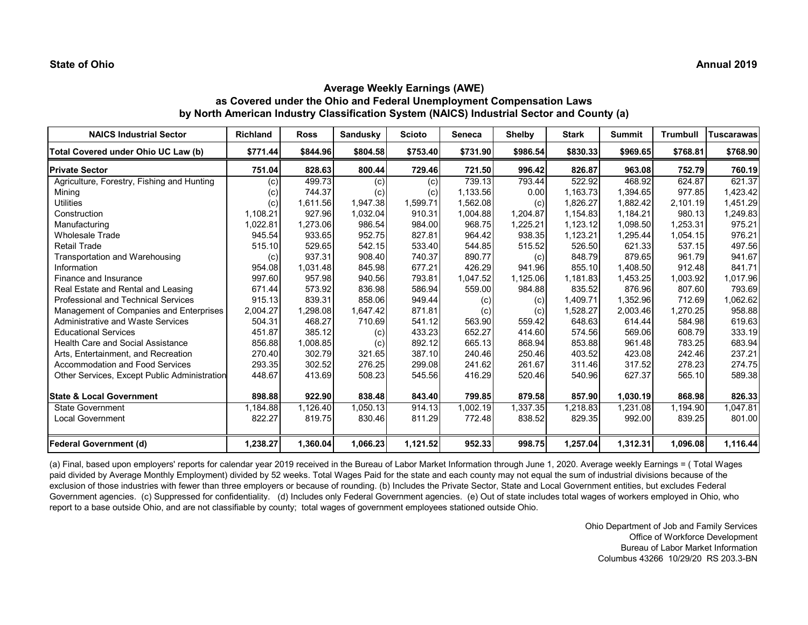# **Average Weekly Earnings (AWE) as Covered under the Ohio and Federal Unemployment Compensation Laws by North American Industry Classification System (NAICS) Industrial Sector and County (a)**

| <b>NAICS Industrial Sector</b>               | <b>Richland</b> | <b>Ross</b> | Sandusky | <b>Scioto</b> | <b>Seneca</b> | <b>Shelby</b> | <b>Stark</b> | <b>Summit</b> | <b>Trumbull</b> | <b>Tuscarawas</b> |
|----------------------------------------------|-----------------|-------------|----------|---------------|---------------|---------------|--------------|---------------|-----------------|-------------------|
| Total Covered under Ohio UC Law (b)          | \$771.44        | \$844.96    | \$804.58 | \$753.40      | \$731.90      | \$986.54      | \$830.33     | \$969.65      | \$768.81        | \$768.90          |
| <b>Private Sector</b>                        | 751.04          | 828.63      | 800.44   | 729.46        | 721.50        | 996.42        | 826.87       | 963.08        | 752.79          | 760.19            |
| Agriculture, Forestry, Fishing and Hunting   | (c)             | 499.73      | (c)      | (c)           | 739.13        | 793.44        | 522.92       | 468.92        | 624.87          | 621.37            |
| Mining                                       | (c)             | 744.37      | (c)      | (c)           | 1,133.56      | 0.00          | 1,163.73     | 1.394.65      | 977.85          | .423.42           |
| <b>Utilities</b>                             | (c)             | 1,611.56    | 1,947.38 | 1,599.71      | 1,562.08      | (c)           | 1,826.27     | 1,882.42      | 2,101.19        | 1,451.29          |
| Construction                                 | 1,108.21        | 927.96      | 1,032.04 | 910.31        | 1,004.88      | 1,204.87      | 1,154.83     | 1,184.21      | 980.13          | 1,249.83          |
| Manufacturing                                | 1,022.81        | 1,273.06    | 986.54   | 984.00        | 968.75        | 1,225.21      | 1,123.12     | 1,098.50      | 1,253.31        | 975.21            |
| <b>Wholesale Trade</b>                       | 945.54          | 933.65      | 952.75   | 827.81        | 964.42        | 938.35        | 1,123.21     | 1,295.44      | 1,054.15        | 976.21            |
| <b>Retail Trade</b>                          | 515.10          | 529.65      | 542.15   | 533.40        | 544.85        | 515.52        | 526.50       | 621.33        | 537.15          | 497.56            |
| Transportation and Warehousing               | (c)             | 937.31      | 908.40   | 740.37        | 890.77        | (c)           | 848.79       | 879.65        | 961.79          | 941.67            |
| Information                                  | 954.08          | 1.031.48    | 845.98   | 677.21        | 426.29        | 941.96        | 855.10       | 1.408.50      | 912.48          | 841.71            |
| Finance and Insurance                        | 997.60          | 957.98      | 940.56   | 793.81        | 1,047.52      | 1,125.06      | 1,181.83     | 1,453.25      | 1,003.92        | 1,017.96          |
| Real Estate and Rental and Leasing           | 671.44          | 573.92      | 836.98   | 586.94        | 559.00        | 984.88        | 835.52       | 876.96        | 807.60          | 793.69            |
| <b>Professional and Technical Services</b>   | 915.13          | 839.31      | 858.06   | 949.44        | (c)           | (c)           | 1,409.71     | 1,352.96      | 712.69          | 1,062.62          |
| Management of Companies and Enterprises      | 2,004.27        | 1,298.08    | 1.647.42 | 871.81        | (c)           | (c)           | 1,528.27     | 2,003.46      | 1,270.25        | 958.88            |
| <b>Administrative and Waste Services</b>     | 504.31          | 468.27      | 710.69   | 541.12        | 563.90        | 559.42        | 648.63       | 614.44        | 584.98          | 619.63            |
| <b>Educational Services</b>                  | 451.87          | 385.12      | (c)      | 433.23        | 652.27        | 414.60        | 574.56       | 569.06        | 608.79          | 333.19            |
| <b>Health Care and Social Assistance</b>     | 856.88          | 1,008.85    | (c)      | 892.12        | 665.13        | 868.94        | 853.88       | 961.48        | 783.25          | 683.94            |
| Arts, Entertainment, and Recreation          | 270.40          | 302.79      | 321.65   | 387.10        | 240.46        | 250.46        | 403.52       | 423.08        | 242.46          | 237.21            |
| <b>Accommodation and Food Services</b>       | 293.35          | 302.52      | 276.25   | 299.08        | 241.62        | 261.67        | 311.46       | 317.52        | 278.23          | 274.75            |
| Other Services, Except Public Administration | 448.67          | 413.69      | 508.23   | 545.56        | 416.29        | 520.46        | 540.96       | 627.37        | 565.10          | 589.38            |
| <b>State &amp; Local Government</b>          | 898.88          | 922.90      | 838.48   | 843.40        | 799.85        | 879.58        | 857.90       | 1,030.19      | 868.98          | 826.33            |
| <b>State Government</b>                      | 1,184.88        | 1,126.40    | 1,050.13 | 914.13        | ,002.19       | 1,337.35      | 218.83. ا    | 1,231.08      | 1,194.90        | ,047.81           |
| <b>Local Government</b>                      | 822.27          | 819.75      | 830.46   | 811.29        | 772.48        | 838.52        | 829.35       | 992.00        | 839.25          | 801.00            |
| <b>Federal Government (d)</b>                | 1,238.27        | 1,360.04    | 1,066.23 | 1,121.52      | 952.33        | 998.75        | 1,257.04     | 1,312.31      | 1,096.08        | 1,116.44          |

(a) Final, based upon employers' reports for calendar year 2019 received in the Bureau of Labor Market Information through June 1, 2020. Average weekly Earnings = ( Total Wages paid divided by Average Monthly Employment) divided by 52 weeks. Total Wages Paid for the state and each county may not equal the sum of industrial divisions because of the exclusion of those industries with fewer than three employers or because of rounding. (b) Includes the Private Sector, State and Local Government entities, but excludes Federal Government agencies. (c) Suppressed for confidentiality. (d) Includes only Federal Government agencies. (e) Out of state includes total wages of workers employed in Ohio, who report to a base outside Ohio, and are not classifiable by county; total wages of government employees stationed outside Ohio.